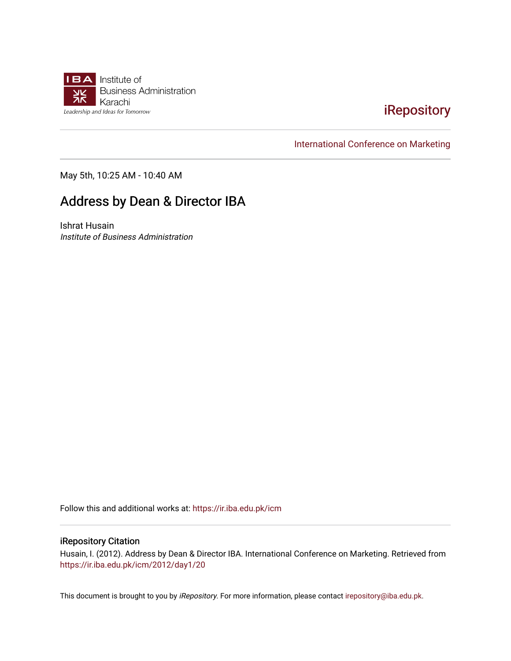

## [iRepository](https://ir.iba.edu.pk/)

[International Conference on Marketing](https://ir.iba.edu.pk/icm) 

May 5th, 10:25 AM - 10:40 AM

## Address by Dean & Director IBA

Ishrat Husain Institute of Business Administration

Follow this and additional works at: [https://ir.iba.edu.pk/icm](https://ir.iba.edu.pk/icm?utm_source=ir.iba.edu.pk%2Ficm%2F2012%2Fday1%2F20&utm_medium=PDF&utm_campaign=PDFCoverPages) 

### iRepository Citation

Husain, I. (2012). Address by Dean & Director IBA. International Conference on Marketing. Retrieved from [https://ir.iba.edu.pk/icm/2012/day1/20](https://ir.iba.edu.pk/icm/2012/day1/20?utm_source=ir.iba.edu.pk%2Ficm%2F2012%2Fday1%2F20&utm_medium=PDF&utm_campaign=PDFCoverPages)

This document is brought to you by iRepository. For more information, please contact [irepository@iba.edu.pk](mailto:irepository@iba.edu.pk).